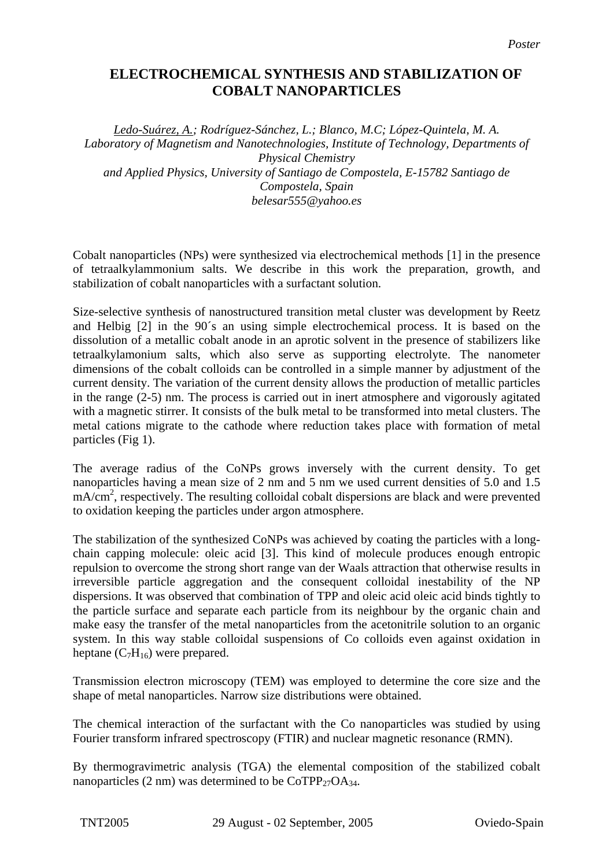## **ELECTROCHEMICAL SYNTHESIS AND STABILIZATION OF COBALT NANOPARTICLES**

*Ledo-Suárez, A.; Rodríguez-Sánchez, L.; Blanco, M.C; López-Quintela, M. A. Laboratory of Magnetism and Nanotechnologies, Institute of Technology, Departments of Physical Chemistry and Applied Physics, University of Santiago de Compostela, E-15782 Santiago de Compostela, Spain belesar555@yahoo.es* 

Cobalt nanoparticles (NPs) were synthesized via electrochemical methods [1] in the presence of tetraalkylammonium salts. We describe in this work the preparation, growth, and stabilization of cobalt nanoparticles with a surfactant solution.

Size-selective synthesis of nanostructured transition metal cluster was development by Reetz and Helbig [2] in the 90´s an using simple electrochemical process. It is based on the dissolution of a metallic cobalt anode in an aprotic solvent in the presence of stabilizers like tetraalkylamonium salts, which also serve as supporting electrolyte. The nanometer dimensions of the cobalt colloids can be controlled in a simple manner by adjustment of the current density. The variation of the current density allows the production of metallic particles in the range (2-5) nm. The process is carried out in inert atmosphere and vigorously agitated with a magnetic stirrer. It consists of the bulk metal to be transformed into metal clusters. The metal cations migrate to the cathode where reduction takes place with formation of metal particles (Fig 1).

The average radius of the CoNPs grows inversely with the current density. To get nanoparticles having a mean size of 2 nm and 5 nm we used current densities of 5.0 and 1.5 mA/cm<sup>2</sup>, respectively. The resulting colloidal cobalt dispersions are black and were prevented to oxidation keeping the particles under argon atmosphere.

The stabilization of the synthesized CoNPs was achieved by coating the particles with a longchain capping molecule: oleic acid [3]. This kind of molecule produces enough entropic repulsion to overcome the strong short range van der Waals attraction that otherwise results in irreversible particle aggregation and the consequent colloidal inestability of the NP dispersions. It was observed that combination of TPP and oleic acid oleic acid binds tightly to the particle surface and separate each particle from its neighbour by the organic chain and make easy the transfer of the metal nanoparticles from the acetonitrile solution to an organic system. In this way stable colloidal suspensions of Co colloids even against oxidation in heptane  $(C_7H_{16})$  were prepared.

Transmission electron microscopy (TEM) was employed to determine the core size and the shape of metal nanoparticles. Narrow size distributions were obtained.

The chemical interaction of the surfactant with the Co nanoparticles was studied by using Fourier transform infrared spectroscopy (FTIR) and nuclear magnetic resonance (RMN).

By thermogravimetric analysis (TGA) the elemental composition of the stabilized cobalt nanoparticles (2 nm) was determined to be  $CoTPP_{27}OA_{34}$ .